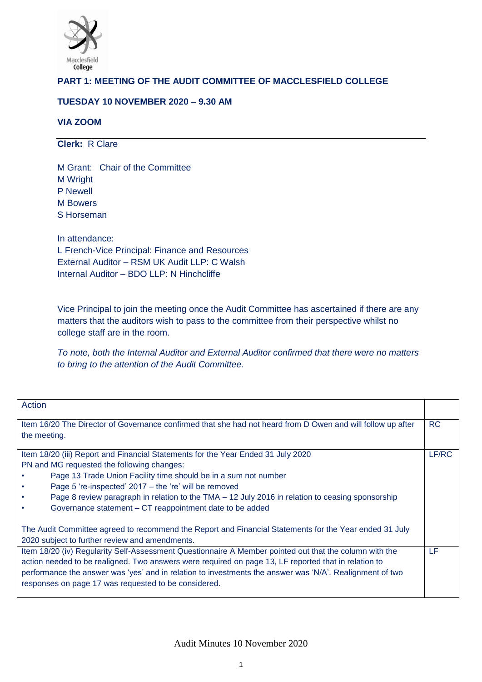

# **PART 1: MEETING OF THE AUDIT COMMITTEE OF MACCLESFIELD COLLEGE**

# **TUESDAY 10 NOVEMBER 2020 – 9.30 AM**

# **VIA ZOOM**

**Clerk:** R Clare

M Grant: Chair of the Committee M Wright P Newell M Bowers S Horseman

In attendance: L French-Vice Principal: Finance and Resources External Auditor – RSM UK Audit LLP: C Walsh Internal Auditor – BDO LLP: N Hinchcliffe

Vice Principal to join the meeting once the Audit Committee has ascertained if there are any matters that the auditors wish to pass to the committee from their perspective whilst no college staff are in the room.

*To note, both the Internal Auditor and External Auditor confirmed that there were no matters to bring to the attention of the Audit Committee.* 

| Action                                                                                                                                                   |       |
|----------------------------------------------------------------------------------------------------------------------------------------------------------|-------|
| Item 16/20 The Director of Governance confirmed that she had not heard from D Owen and will follow up after                                              | RC.   |
| the meeting.                                                                                                                                             |       |
| Item 18/20 (iii) Report and Financial Statements for the Year Ended 31 July 2020                                                                         | LF/RC |
| PN and MG requested the following changes:                                                                                                               |       |
| Page 13 Trade Union Facility time should be in a sum not number                                                                                          |       |
| Page 5 're-inspected' 2017 - the 're' will be removed                                                                                                    |       |
| Page 8 review paragraph in relation to the TMA – 12 July 2016 in relation to ceasing sponsorship                                                         |       |
| Governance statement – CT reappointment date to be added<br>$\bullet$                                                                                    |       |
| The Audit Committee agreed to recommend the Report and Financial Statements for the Year ended 31 July<br>2020 subject to further review and amendments. |       |
| Item 18/20 (iv) Regularity Self-Assessment Questionnaire A Member pointed out that the column with the                                                   | LF    |
| action needed to be realigned. Two answers were required on page 13, LF reported that in relation to                                                     |       |
| performance the answer was 'yes' and in relation to investments the answer was 'N/A'. Realignment of two                                                 |       |
| responses on page 17 was requested to be considered.                                                                                                     |       |
|                                                                                                                                                          |       |

Audit Minutes 10 November 2020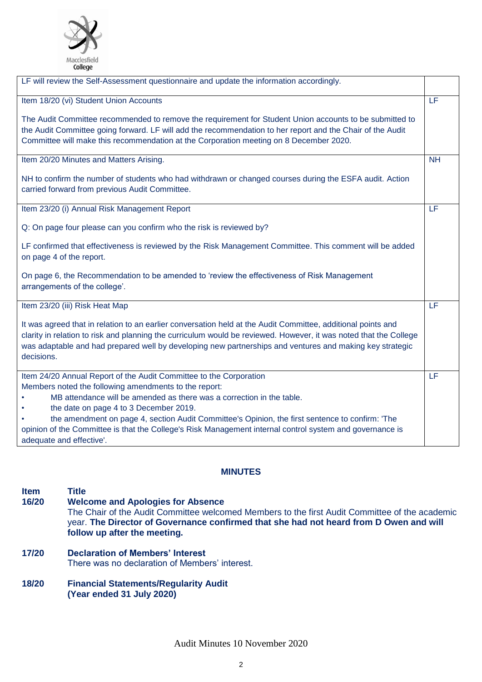

| LF will review the Self-Assessment questionnaire and update the information accordingly.                                                                                                                                                                                                                                                                    |           |
|-------------------------------------------------------------------------------------------------------------------------------------------------------------------------------------------------------------------------------------------------------------------------------------------------------------------------------------------------------------|-----------|
| Item 18/20 (vi) Student Union Accounts                                                                                                                                                                                                                                                                                                                      | LF        |
| The Audit Committee recommended to remove the requirement for Student Union accounts to be submitted to<br>the Audit Committee going forward. LF will add the recommendation to her report and the Chair of the Audit<br>Committee will make this recommendation at the Corporation meeting on 8 December 2020.                                             |           |
| Item 20/20 Minutes and Matters Arising.                                                                                                                                                                                                                                                                                                                     | <b>NH</b> |
| NH to confirm the number of students who had withdrawn or changed courses during the ESFA audit. Action<br>carried forward from previous Audit Committee.                                                                                                                                                                                                   |           |
| Item 23/20 (i) Annual Risk Management Report                                                                                                                                                                                                                                                                                                                | LF        |
| Q: On page four please can you confirm who the risk is reviewed by?                                                                                                                                                                                                                                                                                         |           |
| LF confirmed that effectiveness is reviewed by the Risk Management Committee. This comment will be added<br>on page 4 of the report.                                                                                                                                                                                                                        |           |
| On page 6, the Recommendation to be amended to 'review the effectiveness of Risk Management<br>arrangements of the college'.                                                                                                                                                                                                                                |           |
| Item 23/20 (iii) Risk Heat Map                                                                                                                                                                                                                                                                                                                              | LF        |
| It was agreed that in relation to an earlier conversation held at the Audit Committee, additional points and<br>clarity in relation to risk and planning the curriculum would be reviewed. However, it was noted that the College<br>was adaptable and had prepared well by developing new partnerships and ventures and making key strategic<br>decisions. |           |
| Item 24/20 Annual Report of the Audit Committee to the Corporation                                                                                                                                                                                                                                                                                          | LF        |
| Members noted the following amendments to the report:<br>MB attendance will be amended as there was a correction in the table.                                                                                                                                                                                                                              |           |
| the date on page 4 to 3 December 2019.                                                                                                                                                                                                                                                                                                                      |           |
| the amendment on page 4, section Audit Committee's Opinion, the first sentence to confirm: 'The                                                                                                                                                                                                                                                             |           |
| opinion of the Committee is that the College's Risk Management internal control system and governance is<br>adequate and effective'.                                                                                                                                                                                                                        |           |

# **MINUTES**

# **Item** Title<br>16/20 Welc **16/20 Welcome and Apologies for Absence** The Chair of the Audit Committee welcomed Members to the first Audit Committee of the academic year. **The Director of Governance confirmed that she had not heard from D Owen and will follow up after the meeting.**

- **17/20 Declaration of Members' Interest** There was no declaration of Members' interest.
- **18/20 Financial Statements/Regularity Audit (Year ended 31 July 2020)**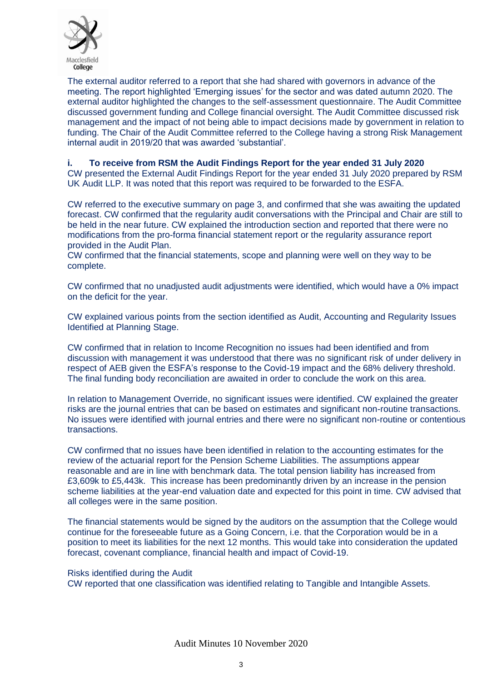

The external auditor referred to a report that she had shared with governors in advance of the meeting. The report highlighted 'Emerging issues' for the sector and was dated autumn 2020. The external auditor highlighted the changes to the self-assessment questionnaire. The Audit Committee discussed government funding and College financial oversight. The Audit Committee discussed risk management and the impact of not being able to impact decisions made by government in relation to funding. The Chair of the Audit Committee referred to the College having a strong Risk Management internal audit in 2019/20 that was awarded 'substantial'.

# **i. To receive from RSM the Audit Findings Report for the year ended 31 July 2020**

CW presented the External Audit Findings Report for the year ended 31 July 2020 prepared by RSM UK Audit LLP. It was noted that this report was required to be forwarded to the ESFA.

CW referred to the executive summary on page 3, and confirmed that she was awaiting the updated forecast. CW confirmed that the regularity audit conversations with the Principal and Chair are still to be held in the near future. CW explained the introduction section and reported that there were no modifications from the pro-forma financial statement report or the regularity assurance report provided in the Audit Plan.

CW confirmed that the financial statements, scope and planning were well on they way to be complete.

CW confirmed that no unadjusted audit adjustments were identified, which would have a 0% impact on the deficit for the year.

CW explained various points from the section identified as Audit, Accounting and Regularity Issues Identified at Planning Stage.

CW confirmed that in relation to Income Recognition no issues had been identified and from discussion with management it was understood that there was no significant risk of under delivery in respect of AEB given the ESFA's response to the Covid-19 impact and the 68% delivery threshold. The final funding body reconciliation are awaited in order to conclude the work on this area.

In relation to Management Override, no significant issues were identified. CW explained the greater risks are the journal entries that can be based on estimates and significant non-routine transactions. No issues were identified with journal entries and there were no significant non-routine or contentious transactions.

CW confirmed that no issues have been identified in relation to the accounting estimates for the review of the actuarial report for the Pension Scheme Liabilities. The assumptions appear reasonable and are in line with benchmark data. The total pension liability has increased from £3,609k to £5,443k. This increase has been predominantly driven by an increase in the pension scheme liabilities at the year-end valuation date and expected for this point in time. CW advised that all colleges were in the same position.

The financial statements would be signed by the auditors on the assumption that the College would continue for the foreseeable future as a Going Concern, i.e. that the Corporation would be in a position to meet its liabilities for the next 12 months. This would take into consideration the updated forecast, covenant compliance, financial health and impact of Covid-19.

#### Risks identified during the Audit

CW reported that one classification was identified relating to Tangible and Intangible Assets.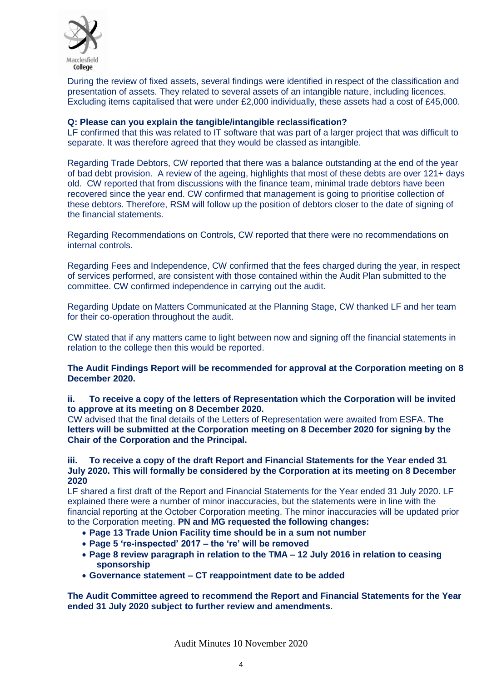

During the review of fixed assets, several findings were identified in respect of the classification and presentation of assets. They related to several assets of an intangible nature, including licences. Excluding items capitalised that were under £2,000 individually, these assets had a cost of £45,000.

#### **Q: Please can you explain the tangible/intangible reclassification?**

LF confirmed that this was related to IT software that was part of a larger project that was difficult to separate. It was therefore agreed that they would be classed as intangible.

Regarding Trade Debtors, CW reported that there was a balance outstanding at the end of the year of bad debt provision. A review of the ageing, highlights that most of these debts are over 121+ days old. CW reported that from discussions with the finance team, minimal trade debtors have been recovered since the year end. CW confirmed that management is going to prioritise collection of these debtors. Therefore, RSM will follow up the position of debtors closer to the date of signing of the financial statements.

Regarding Recommendations on Controls, CW reported that there were no recommendations on internal controls.

Regarding Fees and Independence, CW confirmed that the fees charged during the year, in respect of services performed, are consistent with those contained within the Audit Plan submitted to the committee. CW confirmed independence in carrying out the audit.

Regarding Update on Matters Communicated at the Planning Stage, CW thanked LF and her team for their co-operation throughout the audit.

CW stated that if any matters came to light between now and signing off the financial statements in relation to the college then this would be reported.

**The Audit Findings Report will be recommended for approval at the Corporation meeting on 8 December 2020.**

#### **ii. To receive a copy of the letters of Representation which the Corporation will be invited to approve at its meeting on 8 December 2020.**

CW advised that the final details of the Letters of Representation were awaited from ESFA. **The letters will be submitted at the Corporation meeting on 8 December 2020 for signing by the Chair of the Corporation and the Principal.** 

#### **iii. To receive a copy of the draft Report and Financial Statements for the Year ended 31 July 2020. This will formally be considered by the Corporation at its meeting on 8 December 2020**

LF shared a first draft of the Report and Financial Statements for the Year ended 31 July 2020. LF explained there were a number of minor inaccuracies, but the statements were in line with the financial reporting at the October Corporation meeting. The minor inaccuracies will be updated prior to the Corporation meeting. **PN and MG requested the following changes:** 

- **Page 13 Trade Union Facility time should be in a sum not number**
- **Page 5 're-inspected' 2017 – the 're' will be removed**
- **Page 8 review paragraph in relation to the TMA – 12 July 2016 in relation to ceasing sponsorship**
- **Governance statement – CT reappointment date to be added**

**The Audit Committee agreed to recommend the Report and Financial Statements for the Year ended 31 July 2020 subject to further review and amendments.**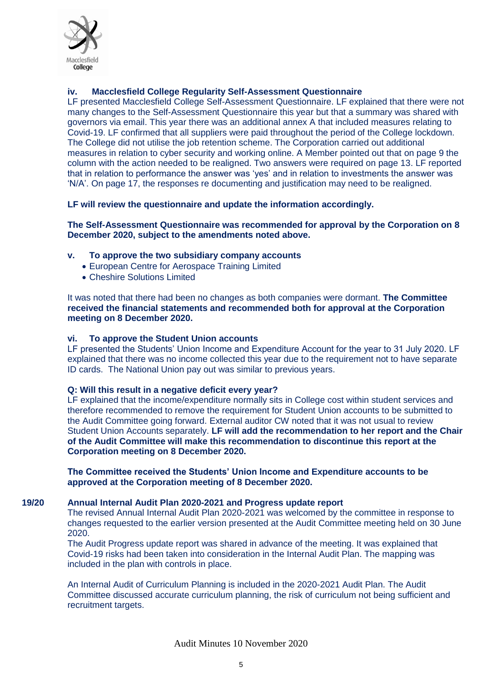

# **iv. Macclesfield College Regularity Self-Assessment Questionnaire**

LF presented Macclesfield College Self-Assessment Questionnaire. LF explained that there were not many changes to the Self-Assessment Questionnaire this year but that a summary was shared with governors via email. This year there was an additional annex A that included measures relating to Covid-19. LF confirmed that all suppliers were paid throughout the period of the College lockdown. The College did not utilise the job retention scheme. The Corporation carried out additional measures in relation to cyber security and working online. A Member pointed out that on page 9 the column with the action needed to be realigned. Two answers were required on page 13. LF reported that in relation to performance the answer was 'yes' and in relation to investments the answer was 'N/A'. On page 17, the responses re documenting and justification may need to be realigned.

#### **LF will review the questionnaire and update the information accordingly.**

**The Self-Assessment Questionnaire was recommended for approval by the Corporation on 8 December 2020, subject to the amendments noted above.** 

#### **v. To approve the two subsidiary company accounts**

- European Centre for Aerospace Training Limited
- Cheshire Solutions Limited

It was noted that there had been no changes as both companies were dormant. **The Committee received the financial statements and recommended both for approval at the Corporation meeting on 8 December 2020.**

#### **vi. To approve the Student Union accounts**

LF presented the Students' Union Income and Expenditure Account for the year to 31 July 2020. LF explained that there was no income collected this year due to the requirement not to have separate ID cards. The National Union pay out was similar to previous years.

#### **Q: Will this result in a negative deficit every year?**

LF explained that the income/expenditure normally sits in College cost within student services and therefore recommended to remove the requirement for Student Union accounts to be submitted to the Audit Committee going forward. External auditor CW noted that it was not usual to review Student Union Accounts separately. **LF will add the recommendation to her report and the Chair of the Audit Committee will make this recommendation to discontinue this report at the Corporation meeting on 8 December 2020.** 

**The Committee received the Students' Union Income and Expenditure accounts to be approved at the Corporation meeting of 8 December 2020.**

#### **19/20 Annual Internal Audit Plan 2020-2021 and Progress update report**

The revised Annual Internal Audit Plan 2020-2021 was welcomed by the committee in response to changes requested to the earlier version presented at the Audit Committee meeting held on 30 June 2020.

The Audit Progress update report was shared in advance of the meeting. It was explained that Covid-19 risks had been taken into consideration in the Internal Audit Plan. The mapping was included in the plan with controls in place.

An Internal Audit of Curriculum Planning is included in the 2020-2021 Audit Plan. The Audit Committee discussed accurate curriculum planning, the risk of curriculum not being sufficient and recruitment targets.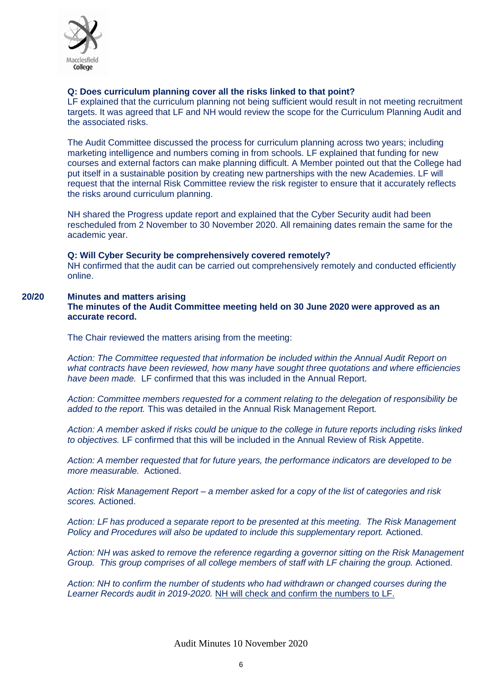

# **Q: Does curriculum planning cover all the risks linked to that point?**

LF explained that the curriculum planning not being sufficient would result in not meeting recruitment targets. It was agreed that LF and NH would review the scope for the Curriculum Planning Audit and the associated risks.

The Audit Committee discussed the process for curriculum planning across two years; including marketing intelligence and numbers coming in from schools. LF explained that funding for new courses and external factors can make planning difficult. A Member pointed out that the College had put itself in a sustainable position by creating new partnerships with the new Academies. LF will request that the internal Risk Committee review the risk register to ensure that it accurately reflects the risks around curriculum planning.

NH shared the Progress update report and explained that the Cyber Security audit had been rescheduled from 2 November to 30 November 2020. All remaining dates remain the same for the academic year.

#### **Q: Will Cyber Security be comprehensively covered remotely?**

NH confirmed that the audit can be carried out comprehensively remotely and conducted efficiently online.

# **20/20 Minutes and matters arising**

**The minutes of the Audit Committee meeting held on 30 June 2020 were approved as an accurate record.** 

The Chair reviewed the matters arising from the meeting:

*Action: The Committee requested that information be included within the Annual Audit Report on what contracts have been reviewed, how many have sought three quotations and where efficiencies have been made.* LF confirmed that this was included in the Annual Report.

*Action: Committee members requested for a comment relating to the delegation of responsibility be added to the report.* This was detailed in the Annual Risk Management Report*.*

*Action: A member asked if risks could be unique to the college in future reports including risks linked to objectives.* LF confirmed that this will be included in the Annual Review of Risk Appetite.

*Action: A member requested that for future years, the performance indicators are developed to be more measurable.* Actioned.

*Action: Risk Management Report – a member asked for a copy of the list of categories and risk scores.* Actioned.

*Action: LF has produced a separate report to be presented at this meeting. The Risk Management Policy and Procedures will also be updated to include this supplementary report.* Actioned.

*Action: NH was asked to remove the reference regarding a governor sitting on the Risk Management Group. This group comprises of all college members of staff with LF chairing the group.* Actioned.

*Action: NH to confirm the number of students who had withdrawn or changed courses during the Learner Records audit in 2019-2020.* NH will check and confirm the numbers to LF.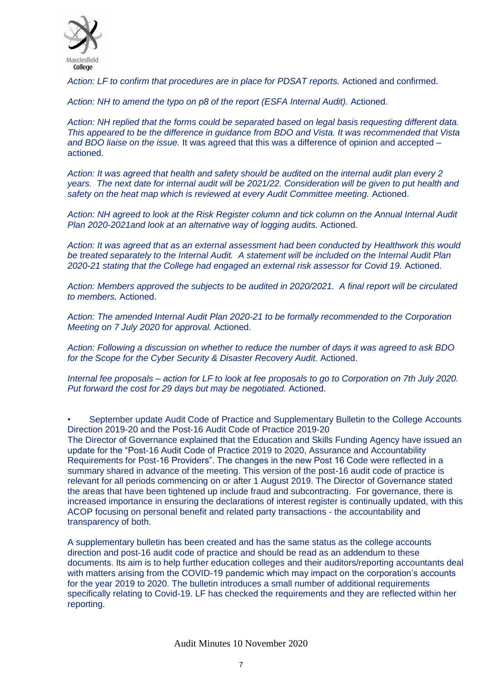

*Action: LF to confirm that procedures are in place for PDSAT reports.* Actioned and confirmed.

Action: NH to amend the typo on p8 of the report (ESFA Internal Audit). Actioned.

*Action: NH replied that the forms could be separated based on legal basis requesting different data. This appeared to be the difference in guidance from BDO and Vista. It was recommended that Vista and BDO liaise on the issue.* It was agreed that this was a difference of opinion and accepted – actioned.

*Action: It was agreed that health and safety should be audited on the internal audit plan every 2 years. The next date for internal audit will be 2021/22. Consideration will be given to put health and safety on the heat map which is reviewed at every Audit Committee meeting.* Actioned.

*Action: NH agreed to look at the Risk Register column and tick column on the Annual Internal Audit Plan 2020-2021and look at an alternative way of logging audits.* Actioned.

*Action: It was agreed that as an external assessment had been conducted by Healthwork this would be treated separately to the Internal Audit. A statement will be included on the Internal Audit Plan 2020-21 stating that the College had engaged an external risk assessor for Covid 19.* Actioned.

*Action: Members approved the subjects to be audited in 2020/2021. A final report will be circulated to members.* Actioned.

*Action: The amended Internal Audit Plan 2020-21 to be formally recommended to the Corporation Meeting on 7 July 2020 for approval.* Actioned.

*Action: Following a discussion on whether to reduce the number of days it was agreed to ask BDO for the Scope for the Cyber Security & Disaster Recovery Audit.* Actioned.

*Internal fee proposals – action for LF to look at fee proposals to go to Corporation on 7th July 2020. Put forward the cost for 29 days but may be negotiated.* Actioned.

• September update Audit Code of Practice and Supplementary Bulletin to the College Accounts Direction 2019-20 and the Post-16 Audit Code of Practice 2019-20

The Director of Governance explained that the Education and Skills Funding Agency have issued an update for the "Post-16 Audit Code of Practice 2019 to 2020, Assurance and Accountability Requirements for Post-16 Providers". The changes in the new Post 16 Code were reflected in a summary shared in advance of the meeting. This version of the post-16 audit code of practice is relevant for all periods commencing on or after 1 August 2019. The Director of Governance stated the areas that have been tightened up include fraud and subcontracting. For governance, there is increased importance in ensuring the declarations of interest register is continually updated, with this ACOP focusing on personal benefit and related party transactions - the accountability and transparency of both.

A supplementary bulletin has been created and has the same status as the college accounts direction and post-16 audit code of practice and should be read as an addendum to these documents. Its aim is to help further education colleges and their auditors/reporting accountants deal with matters arising from the COVID-19 pandemic which may impact on the corporation's accounts for the year 2019 to 2020. The bulletin introduces a small number of additional requirements specifically relating to Covid-19. LF has checked the requirements and they are reflected within her reporting.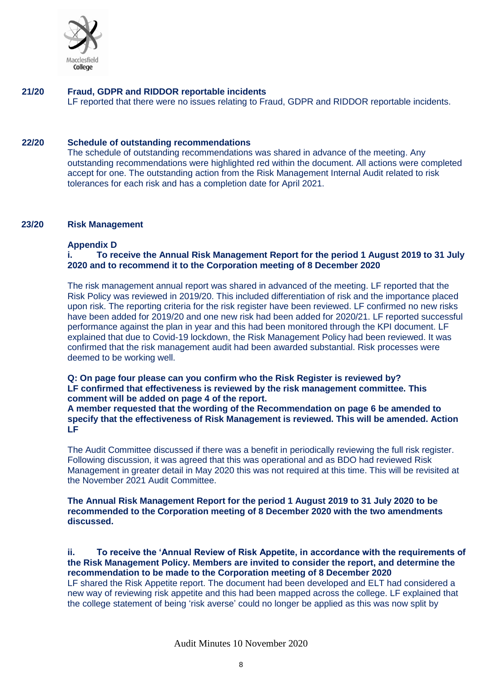

#### **21/20 Fraud, GDPR and RIDDOR reportable incidents** LF reported that there were no issues relating to Fraud, GDPR and RIDDOR reportable incidents.

#### **22/20 Schedule of outstanding recommendations**

The schedule of outstanding recommendations was shared in advance of the meeting. Any outstanding recommendations were highlighted red within the document. All actions were completed accept for one. The outstanding action from the Risk Management Internal Audit related to risk tolerances for each risk and has a completion date for April 2021.

#### **23/20 Risk Management**

#### **Appendix D**

# **i. To receive the Annual Risk Management Report for the period 1 August 2019 to 31 July 2020 and to recommend it to the Corporation meeting of 8 December 2020**

The risk management annual report was shared in advanced of the meeting. LF reported that the Risk Policy was reviewed in 2019/20. This included differentiation of risk and the importance placed upon risk. The reporting criteria for the risk register have been reviewed. LF confirmed no new risks have been added for 2019/20 and one new risk had been added for 2020/21. LF reported successful performance against the plan in year and this had been monitored through the KPI document. LF explained that due to Covid-19 lockdown, the Risk Management Policy had been reviewed. It was confirmed that the risk management audit had been awarded substantial. Risk processes were deemed to be working well.

# **Q: On page four please can you confirm who the Risk Register is reviewed by? LF confirmed that effectiveness is reviewed by the risk management committee. This comment will be added on page 4 of the report.**

**A member requested that the wording of the Recommendation on page 6 be amended to specify that the effectiveness of Risk Management is reviewed. This will be amended. Action LF**

The Audit Committee discussed if there was a benefit in periodically reviewing the full risk register. Following discussion, it was agreed that this was operational and as BDO had reviewed Risk Management in greater detail in May 2020 this was not required at this time. This will be revisited at the November 2021 Audit Committee.

#### **The Annual Risk Management Report for the period 1 August 2019 to 31 July 2020 to be recommended to the Corporation meeting of 8 December 2020 with the two amendments discussed.**

#### **ii. To receive the 'Annual Review of Risk Appetite, in accordance with the requirements of the Risk Management Policy. Members are invited to consider the report, and determine the recommendation to be made to the Corporation meeting of 8 December 2020**

LF shared the Risk Appetite report. The document had been developed and ELT had considered a new way of reviewing risk appetite and this had been mapped across the college. LF explained that the college statement of being 'risk averse' could no longer be applied as this was now split by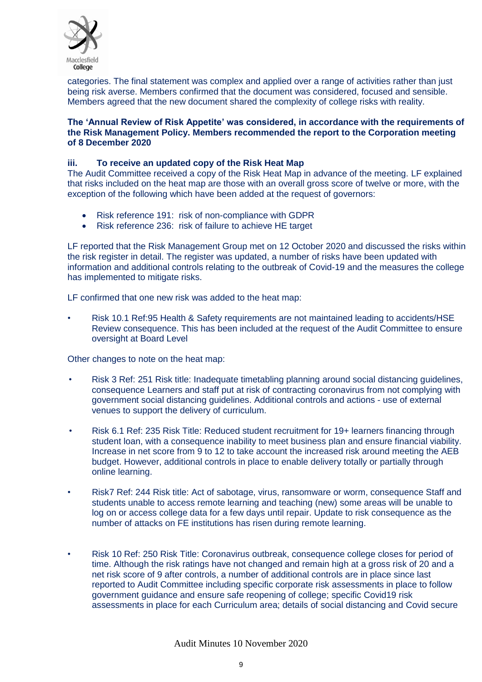

categories. The final statement was complex and applied over a range of activities rather than just being risk averse. Members confirmed that the document was considered, focused and sensible. Members agreed that the new document shared the complexity of college risks with reality.

#### **The 'Annual Review of Risk Appetite' was considered, in accordance with the requirements of the Risk Management Policy. Members recommended the report to the Corporation meeting of 8 December 2020**

# **iii. To receive an updated copy of the Risk Heat Map**

The Audit Committee received a copy of the Risk Heat Map in advance of the meeting. LF explained that risks included on the heat map are those with an overall gross score of twelve or more, with the exception of the following which have been added at the request of governors:

- Risk reference 191: risk of non-compliance with GDPR
- Risk reference 236: risk of failure to achieve HE target

LF reported that the Risk Management Group met on 12 October 2020 and discussed the risks within the risk register in detail. The register was updated, a number of risks have been updated with information and additional controls relating to the outbreak of Covid-19 and the measures the college has implemented to mitigate risks.

LF confirmed that one new risk was added to the heat map:

• Risk 10.1 Ref:95 Health & Safety requirements are not maintained leading to accidents/HSE Review consequence. This has been included at the request of the Audit Committee to ensure oversight at Board Level

Other changes to note on the heat map:

- Risk 3 Ref: 251 Risk title: Inadequate timetabling planning around social distancing guidelines, consequence Learners and staff put at risk of contracting coronavirus from not complying with government social distancing guidelines. Additional controls and actions - use of external venues to support the delivery of curriculum.
- Risk 6.1 Ref: 235 Risk Title: Reduced student recruitment for 19+ learners financing through student loan, with a consequence inability to meet business plan and ensure financial viability. Increase in net score from 9 to 12 to take account the increased risk around meeting the AEB budget. However, additional controls in place to enable delivery totally or partially through online learning.
- Risk7 Ref: 244 Risk title: Act of sabotage, virus, ransomware or worm, consequence Staff and students unable to access remote learning and teaching (new) some areas will be unable to log on or access college data for a few days until repair. Update to risk consequence as the number of attacks on FE institutions has risen during remote learning.
- Risk 10 Ref: 250 Risk Title: Coronavirus outbreak, consequence college closes for period of time. Although the risk ratings have not changed and remain high at a gross risk of 20 and a net risk score of 9 after controls, a number of additional controls are in place since last reported to Audit Committee including specific corporate risk assessments in place to follow government guidance and ensure safe reopening of college; specific Covid19 risk assessments in place for each Curriculum area; details of social distancing and Covid secure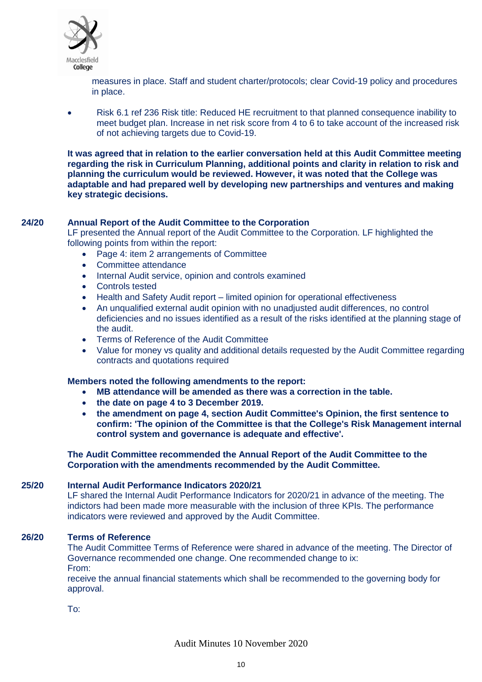

measures in place. Staff and student charter/protocols; clear Covid-19 policy and procedures in place.

• Risk 6.1 ref 236 Risk title: Reduced HE recruitment to that planned consequence inability to meet budget plan. Increase in net risk score from 4 to 6 to take account of the increased risk of not achieving targets due to Covid-19.

**It was agreed that in relation to the earlier conversation held at this Audit Committee meeting regarding the risk in Curriculum Planning, additional points and clarity in relation to risk and planning the curriculum would be reviewed. However, it was noted that the College was adaptable and had prepared well by developing new partnerships and ventures and making key strategic decisions.** 

# **24/20 Annual Report of the Audit Committee to the Corporation**

LF presented the Annual report of the Audit Committee to the Corporation. LF highlighted the following points from within the report:

- Page 4: item 2 arrangements of Committee
- Committee attendance
- Internal Audit service, opinion and controls examined
- Controls tested
- Health and Safety Audit report limited opinion for operational effectiveness
- An unqualified external audit opinion with no unadjusted audit differences, no control deficiencies and no issues identified as a result of the risks identified at the planning stage of the audit.
- Terms of Reference of the Audit Committee
- Value for money vs quality and additional details requested by the Audit Committee regarding contracts and quotations required

#### **Members noted the following amendments to the report:**

- **MB attendance will be amended as there was a correction in the table.**
- **the date on page 4 to 3 December 2019.**
- **the amendment on page 4, section Audit Committee's Opinion, the first sentence to confirm: 'The opinion of the Committee is that the College's Risk Management internal control system and governance is adequate and effective'.**

#### **The Audit Committee recommended the Annual Report of the Audit Committee to the Corporation with the amendments recommended by the Audit Committee.**

#### **25/20 Internal Audit Performance Indicators 2020/21**

LF shared the Internal Audit Performance Indicators for 2020/21 in advance of the meeting. The indictors had been made more measurable with the inclusion of three KPIs. The performance indicators were reviewed and approved by the Audit Committee.

#### **26/20 Terms of Reference**

The Audit Committee Terms of Reference were shared in advance of the meeting. The Director of Governance recommended one change. One recommended change to ix: From:

receive the annual financial statements which shall be recommended to the governing body for approval.

To: